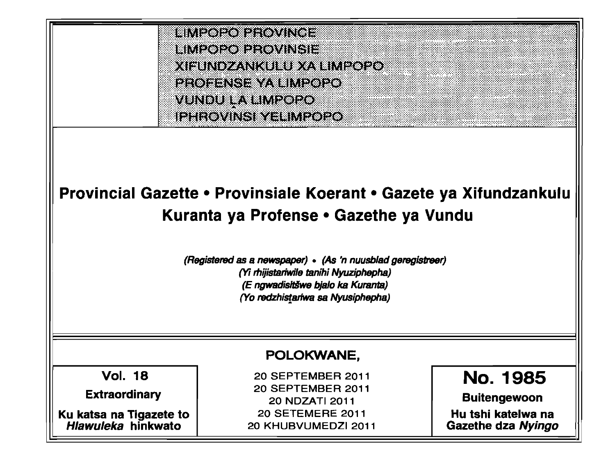

# Provincial Gazette • Provinsiale Koerant • Gazete ya Xitundzankulu Kuranta ya Protense • Gazethe ya Vundu

(Registered*as* a newspaper) • (As'n nuusb/adgereglstreer) *(Yi rhijistariwile tanihi Nyuziphepha)* (E ngwadisitšwe bjalo ka Kuranta) (Yo redzhistartwa sa Nyusiphepha)

## POLOKWANE,

Vol. 18

**Extraordinary** 

Ku katsa na Tigazete to Hlawuleka hinkwato

 SEPTEMBER 2011 SEPTEMBER 2011 NDZATI 2011 SETEMERE 2011 KHUBVUMEDZI 2011 No. 1985

Buitengewoon

Hu tshi katelwa na Gazethe dza Nyingo